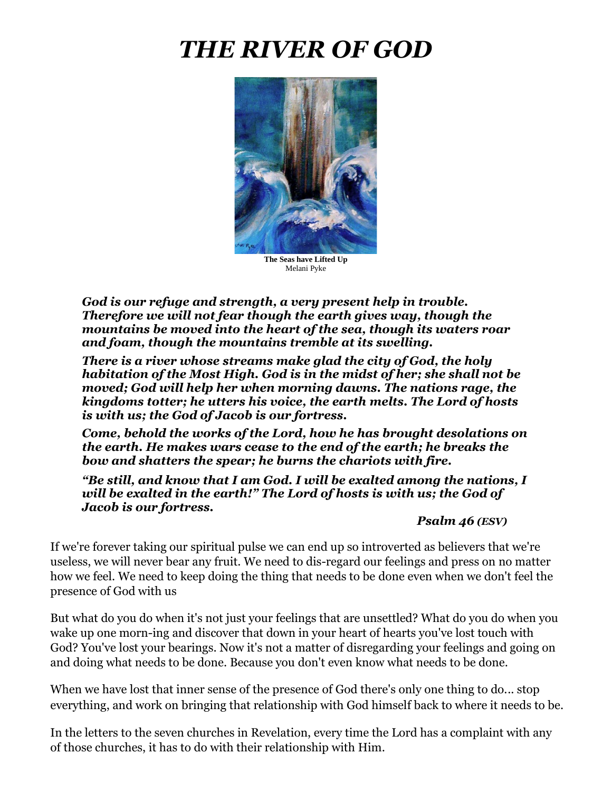# *THE RIVER OF GOD*



**The Seas have Lifted Up** Melani Pyke

*God is our refuge and strength, a very present help in trouble. Therefore we will not fear though the earth gives way, though the mountains be moved into the heart of the sea, though its waters roar and foam, though the mountains tremble at its swelling.*

*There is a river whose streams make glad the city of God, the holy habitation of the Most High. God is in the midst of her; she shall not be moved; God will help her when morning dawns. The nations rage, the kingdoms totter; he utters his voice, the earth melts. The Lord of hosts is with us; the God of Jacob is our fortress.*

*Come, behold the works of the Lord, how he has brought desolations on the earth. He makes wars cease to the end of the earth; he breaks the bow and shatters the spear; he burns the chariots with fire.* 

*"Be still, and know that I am God. I will be exalted among the nations, I will be exalted in the earth!" The Lord of hosts is with us; the God of Jacob is our fortress.*

*Psalm 46 (ESV)*

If we're forever taking our spiritual pulse we can end up so introverted as believers that we're useless, we will never bear any fruit. We need to dis-regard our feelings and press on no matter how we feel. We need to keep doing the thing that needs to be done even when we don't feel the presence of God with us

But what do you do when it's not just your feelings that are unsettled? What do you do when you wake up one morn-ing and discover that down in your heart of hearts you've lost touch with God? You've lost your bearings. Now it's not a matter of disregarding your feelings and going on and doing what needs to be done. Because you don't even know what needs to be done.

When we have lost that inner sense of the presence of God there's only one thing to do... stop everything, and work on bringing that relationship with God himself back to where it needs to be.

In the letters to the seven churches in Revelation, every time the Lord has a complaint with any of those churches, it has to do with their relationship with Him.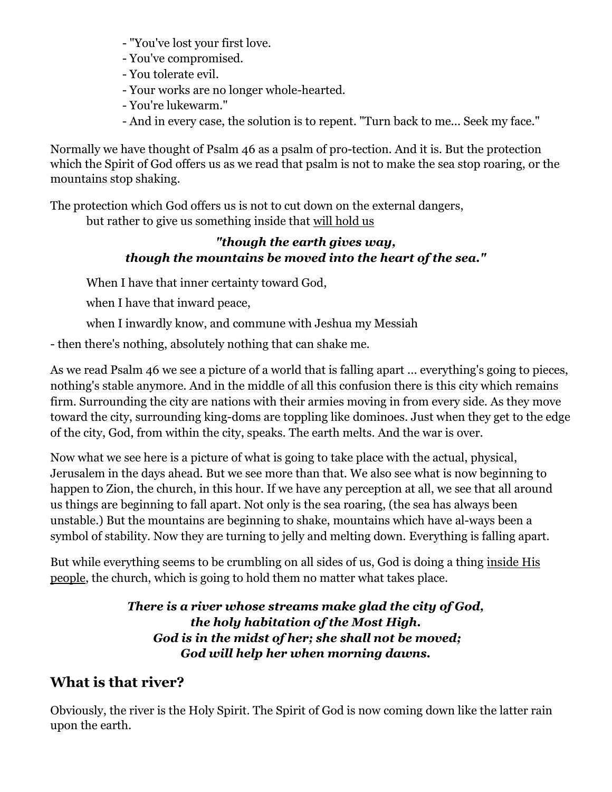- "You've lost your first love.
- You've compromised.
- You tolerate evil.
- Your works are no longer whole-hearted.
- You're lukewarm."
- And in every case, the solution is to repent. "Turn back to me... Seek my face."

Normally we have thought of Psalm 46 as a psalm of pro-tection. And it is. But the protection which the Spirit of God offers us as we read that psalm is not to make the sea stop roaring, or the mountains stop shaking.

The protection which God offers us is not to cut down on the external dangers, but rather to give us something inside that will hold us

# *"though the earth gives way, though the mountains be moved into the heart of the sea."*

When I have that inner certainty toward God,

when I have that inward peace,

when I inwardly know, and commune with Jeshua my Messiah

- then there's nothing, absolutely nothing that can shake me.

As we read Psalm 46 we see a picture of a world that is falling apart ... everything's going to pieces, nothing's stable anymore. And in the middle of all this confusion there is this city which remains firm. Surrounding the city are nations with their armies moving in from every side. As they move toward the city, surrounding king-doms are toppling like dominoes. Just when they get to the edge of the city, God, from within the city, speaks. The earth melts. And the war is over.

Now what we see here is a picture of what is going to take place with the actual, physical, Jerusalem in the days ahead. But we see more than that. We also see what is now beginning to happen to Zion, the church, in this hour. If we have any perception at all, we see that all around us things are beginning to fall apart. Not only is the sea roaring, (the sea has always been unstable.) But the mountains are beginning to shake, mountains which have al-ways been a symbol of stability. Now they are turning to jelly and melting down. Everything is falling apart.

But while everything seems to be crumbling on all sides of us, God is doing a thing inside His people, the church, which is going to hold them no matter what takes place.

#### *There is a river whose streams make glad the city of God, the holy habitation of the Most High. God is in the midst of her; she shall not be moved; God will help her when morning dawns.*

# **What is that river?**

Obviously, the river is the Holy Spirit. The Spirit of God is now coming down like the latter rain upon the earth.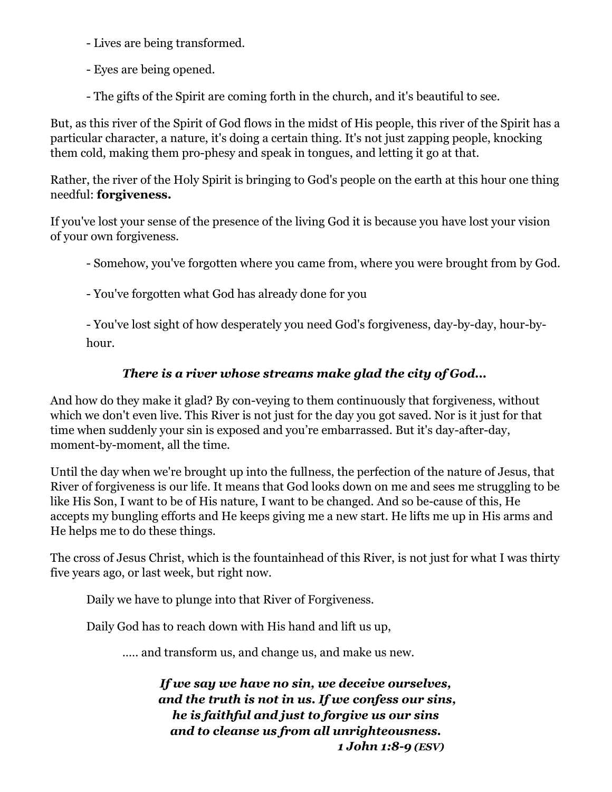- Lives are being transformed.

- Eyes are being opened.

- The gifts of the Spirit are coming forth in the church, and it's beautiful to see.

But, as this river of the Spirit of God flows in the midst of His people, this river of the Spirit has a particular character, a nature, it's doing a certain thing. It's not just zapping people, knocking them cold, making them pro-phesy and speak in tongues, and letting it go at that.

Rather, the river of the Holy Spirit is bringing to God's people on the earth at this hour one thing needful: **forgiveness.**

If you've lost your sense of the presence of the living God it is because you have lost your vision of your own forgiveness.

- Somehow, you've forgotten where you came from, where you were brought from by God.

- You've forgotten what God has already done for you

- You've lost sight of how desperately you need God's forgiveness, day-by-day, hour-byhour.

# *There is a river whose streams make glad the city of God...*

And how do they make it glad? By con-veying to them continuously that forgiveness, without which we don't even live. This River is not just for the day you got saved. Nor is it just for that time when suddenly your sin is exposed and you're embarrassed. But it's day-after-day, moment-by-moment, all the time.

Until the day when we're brought up into the fullness, the perfection of the nature of Jesus, that River of forgiveness is our life. It means that God looks down on me and sees me struggling to be like His Son, I want to be of His nature, I want to be changed. And so be-cause of this, He accepts my bungling efforts and He keeps giving me a new start. He lifts me up in His arms and He helps me to do these things.

The cross of Jesus Christ, which is the fountainhead of this River, is not just for what I was thirty five years ago, or last week, but right now.

Daily we have to plunge into that River of Forgiveness.

Daily God has to reach down with His hand and lift us up,

.…. and transform us, and change us, and make us new.

*If we say we have no sin, we deceive ourselves, and the truth is not in us. If we confess our sins, he is faithful and just to forgive us our sins and to cleanse us from all unrighteousness. 1 John 1:8-9 (ESV)*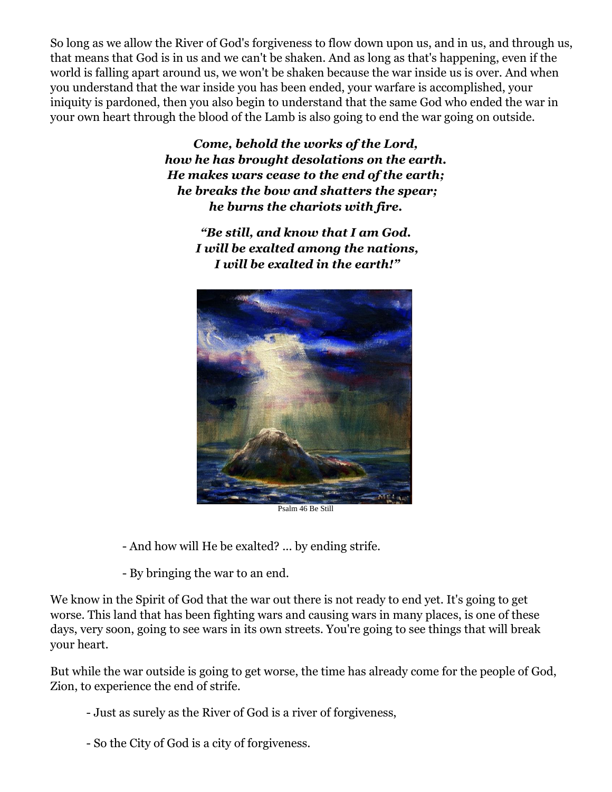So long as we allow the River of God's forgiveness to flow down upon us, and in us, and through us, that means that God is in us and we can't be shaken. And as long as that's happening, even if the world is falling apart around us, we won't be shaken because the war inside us is over. And when you understand that the war inside you has been ended, your warfare is accomplished, your iniquity is pardoned, then you also begin to understand that the same God who ended the war in your own heart through the blood of the Lamb is also going to end the war going on outside.

> *Come, behold the works of the Lord, how he has brought desolations on the earth. He makes wars cease to the end of the earth; he breaks the bow and shatters the spear; he burns the chariots with fire.*

> > *"Be still, and know that I am God. I will be exalted among the nations, I will be exalted in the earth!"*



Psalm 46 Be Still

- And how will He be exalted? ... by ending strife.

- By bringing the war to an end.

We know in the Spirit of God that the war out there is not ready to end yet. It's going to get worse. This land that has been fighting wars and causing wars in many places, is one of these days, very soon, going to see wars in its own streets. You're going to see things that will break your heart.

But while the war outside is going to get worse, the time has already come for the people of God, Zion, to experience the end of strife.

- Just as surely as the River of God is a river of forgiveness,
- So the City of God is a city of forgiveness.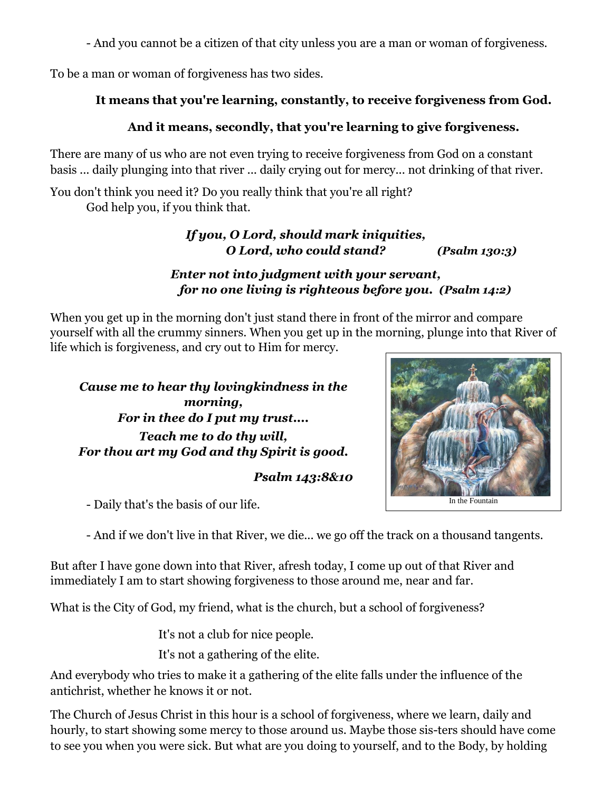- And you cannot be a citizen of that city unless you are a man or woman of forgiveness.

To be a man or woman of forgiveness has two sides.

#### **It means that you're learning, constantly, to receive forgiveness from God.**

### **And it means, secondly, that you're learning to give forgiveness.**

There are many of us who are not even trying to receive forgiveness from God on a constant basis ... daily plunging into that river ... daily crying out for mercy... not drinking of that river.

You don't think you need it? Do you really think that you're all right? God help you, if you think that.

> *If you, O Lord, should mark iniquities, O Lord, who could stand? (Psalm 130:3)*

#### *Enter not into judgment with your servant, for no one living is righteous before you. (Psalm 14:2)*

When you get up in the morning don't just stand there in front of the mirror and compare yourself with all the crummy sinners. When you get up in the morning, plunge into that River of life which is forgiveness, and cry out to Him for mercy.

*Cause me to hear thy lovingkindness in the morning, For in thee do I put my trust.... Teach me to do thy will, For thou art my God and thy Spirit is good.*

#### *Psalm 143:8&10*

- Daily that's the basis of our life.

- And if we don't live in that River, we die... we go off the track on a thousand tangents.

But after I have gone down into that River, afresh today, I come up out of that River and immediately I am to start showing forgiveness to those around me, near and far.

What is the City of God, my friend, what is the church, but a school of forgiveness?

It's not a club for nice people.

It's not a gathering of the elite.

And everybody who tries to make it a gathering of the elite falls under the influence of the antichrist, whether he knows it or not.

The Church of Jesus Christ in this hour is a school of forgiveness, where we learn, daily and hourly, to start showing some mercy to those around us. Maybe those sis-ters should have come to see you when you were sick. But what are you doing to yourself, and to the Body, by holding



In the Fountain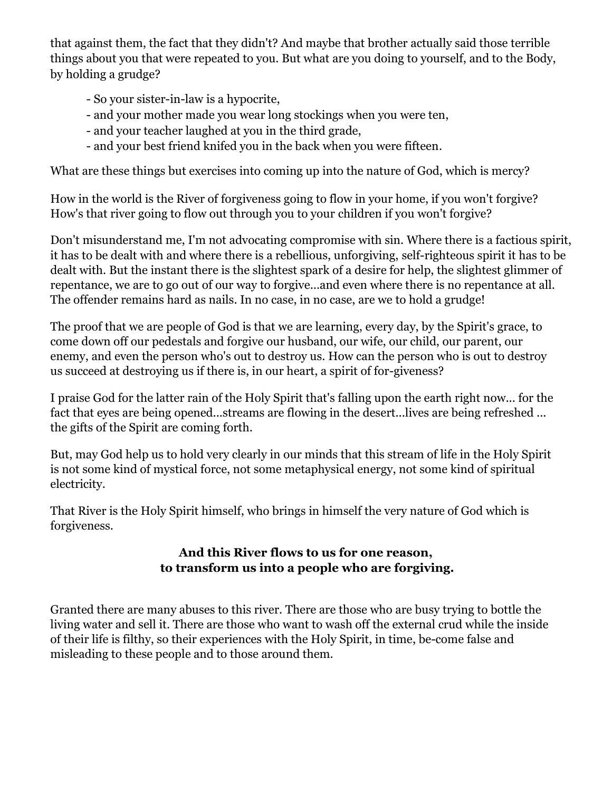that against them, the fact that they didn't? And maybe that brother actually said those terrible things about you that were repeated to you. But what are you doing to yourself, and to the Body, by holding a grudge?

- So your sister-in-law is a hypocrite,
- and your mother made you wear long stockings when you were ten,
- and your teacher laughed at you in the third grade,
- and your best friend knifed you in the back when you were fifteen.

What are these things but exercises into coming up into the nature of God, which is mercy?

How in the world is the River of forgiveness going to flow in your home, if you won't forgive? How's that river going to flow out through you to your children if you won't forgive?

Don't misunderstand me, I'm not advocating compromise with sin. Where there is a factious spirit, it has to be dealt with and where there is a rebellious, unforgiving, self-righteous spirit it has to be dealt with. But the instant there is the slightest spark of a desire for help, the slightest glimmer of repentance, we are to go out of our way to forgive...and even where there is no repentance at all. The offender remains hard as nails. In no case, in no case, are we to hold a grudge!

The proof that we are people of God is that we are learning, every day, by the Spirit's grace, to come down off our pedestals and forgive our husband, our wife, our child, our parent, our enemy, and even the person who's out to destroy us. How can the person who is out to destroy us succeed at destroying us if there is, in our heart, a spirit of for-giveness?

I praise God for the latter rain of the Holy Spirit that's falling upon the earth right now... for the fact that eyes are being opened...streams are flowing in the desert...lives are being refreshed ... the gifts of the Spirit are coming forth.

But, may God help us to hold very clearly in our minds that this stream of life in the Holy Spirit is not some kind of mystical force, not some metaphysical energy, not some kind of spiritual electricity.

That River is the Holy Spirit himself, who brings in himself the very nature of God which is forgiveness.

#### **And this River flows to us for one reason, to transform us into a people who are forgiving.**

Granted there are many abuses to this river. There are those who are busy trying to bottle the living water and sell it. There are those who want to wash off the external crud while the inside of their life i[s](http://filthy.so/) filthy, so their experiences with the Holy Spirit, in time, be-come false and misleading to these people and to those around them.